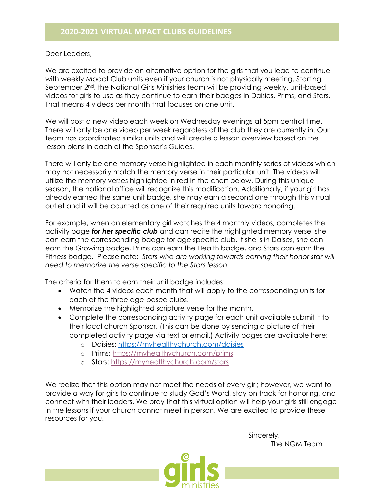Dear Leaders,

We are excited to provide an alternative option for the girls that you lead to continue with weekly Mpact Club units even if your church is not physically meeting. Starting September 2<sup>nd</sup>, the National Girls Ministries team will be providing weekly, unit-based videos for girls to use as they continue to earn their badges in Daisies, Prims, and Stars. That means 4 videos per month that focuses on one unit.

We will post a new video each week on Wednesday evenings at 5pm central time. There will only be one video per week regardless of the club they are currently in. Our team has coordinated similar units and will create a lesson overview based on the lesson plans in each of the Sponsor's Guides.

There will only be one memory verse highlighted in each monthly series of videos which may not necessarily match the memory verse in their particular unit. The videos will utilize the memory verses highlighted in red in the chart below. During this unique season, the national office will recognize this modification. Additionally, if your girl has already earned the same unit badge, she may earn a second one through this virtual outlet and it will be counted as one of their required units toward honoring.

For example, when an elementary girl watches the 4 monthly videos, completes the activity page *for her specific club* and can recite the highlighted memory verse, she can earn the corresponding badge for age specific club. If she is in Daises, she can earn the Growing badge, Prims can earn the Health badge, and Stars can earn the Fitness badge. Please note: *Stars who are working towards earning their honor star will need to memorize the verse specific to the Stars lesson.*

The criteria for them to earn their unit badge includes:

- Watch the 4 videos each month that will apply to the corresponding units for each of the three age-based clubs.
- Memorize the highlighted scripture verse for the month.
- Complete the corresponding activity page for each unit available submit it to their local church Sponsor. (This can be done by sending a picture of their completed activity page via text or email.) Activity pages are available here:
	- o Daisies: https://myhealthychurch.com/daisies
	- o Prims: https://myhealthychurch.com/prims
	- o Stars: https://myhealthychurch.com/stars

We realize that this option may not meet the needs of every girl; however, we want to provide a way for girls to continue to study God's Word, stay on track for honoring, and connect with their leaders. We pray that this virtual option will help your girls still engage in the lessons if your church cannot meet in person. We are excited to provide these resources for you!

> Sincerely, The NGM Team

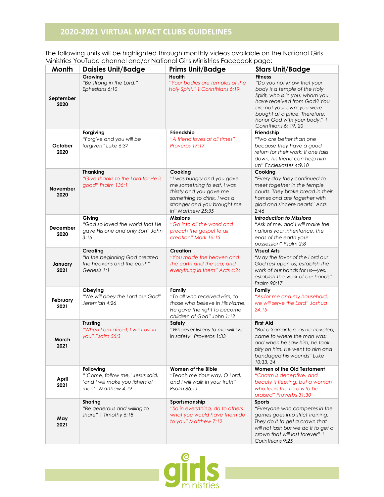## **2020-2021 VIRTUAL MPACT CLUBS GUIDELINES**

The following units will be highlighted through monthly videos available on the National Girls Ministries YouTube channel and/or National Girls Ministries Facebook page:

|                         | <u>The institute of the international contention of the institute of decoders page.</u>               |                                                                                                                                                                                   |                                                                                                                                                                                                                                                                        |
|-------------------------|-------------------------------------------------------------------------------------------------------|-----------------------------------------------------------------------------------------------------------------------------------------------------------------------------------|------------------------------------------------------------------------------------------------------------------------------------------------------------------------------------------------------------------------------------------------------------------------|
| Month                   | <b>Daisies Unit/Badge</b>                                                                             | <b>Prims Unit/Badge</b>                                                                                                                                                           | <b>Stars Unit/Badge</b>                                                                                                                                                                                                                                                |
| September<br>2020       | Growing<br>"Be strong in the Lord."<br>Ephesians 6:10                                                 | Health<br>"Your bodies are temples of the<br>Holy Spirit." 1 Corinthians 6:19                                                                                                     | <b>Fitness</b><br>"Do you not know that your<br>body is a temple of the Holy<br>Spirit, who is in you, whom you<br>have received from God? You<br>are not your own; you were<br>bought at a price. Therefore,<br>honor God with your body." 1<br>Corinthians 6: 19, 20 |
| October<br>2020         | Forgiving<br>"Forgive and you will be<br>forgiven" Luke 6:37                                          | Friendship<br>"A friend loves at all times"<br>Proverbs 17:17                                                                                                                     | Friendship<br>"Two are better than one<br>because they have a good<br>return for their work: If one falls<br>down, his friend can help him<br>up" Ecclesiastes 4:9,10                                                                                                  |
| <b>November</b><br>2020 | <b>Thanking</b><br>"Give thanks to the Lord for He is<br>good" Psalm 136:1                            | Cooking<br>"I was hungry and you gave<br>me something to eat, I was<br>thirsty and you gave me<br>something to drink, I was a<br>stranger and you brought me<br>in" Matthew 25:35 | Cooking<br>"Every day they continued to<br>meet together in the temple<br>courts. They broke bread in their<br>homes and ate together with<br>glad and sincere hearts" Acts<br>2:46                                                                                    |
| December<br>2020        | Giving<br>"God so loved the world that He<br>gave His one and only Son" John<br>3:16                  | <b>Missions</b><br>"Go into all the world and<br>preach the gospel to all<br>creation" Mark 16:15                                                                                 | <b>Introduction to Missions</b><br>"Ask of me, and I will make the<br>nations your inheritance, the<br>ends of the earth your<br>possession" Psalm 2:8                                                                                                                 |
| January<br>2021         | Creating<br>"In the beginning God created<br>the heavens and the earth"<br>Genesis 1:1                | <b>Creation</b><br>"You made the heaven and<br>the earth and the sea, and<br>everything in them" Acts 4:24                                                                        | <b>Visual Arts</b><br>"May the favor of the Lord our<br>God rest upon us; establish the<br>work of our hands for us-yes,<br>establish the work of our hands"<br>Psalm 90:17                                                                                            |
| February<br>2021        | Obeying<br>"We will obey the Lord our God"<br>Jeremiah 4:26                                           | Family<br>"To all who received Him, to<br>those who believe in His Name,<br>He gave the right to become<br>children of God" John 1:12                                             | Family<br>"As for me and my household,<br>we will serve the Lord" Joshua<br>24:15                                                                                                                                                                                      |
| March<br>2021           | <b>Trusting</b><br>"When I am afraid, I will trust in<br>you" Psalm 56:3                              | Safety<br>"Whoever listens to me will live<br>in safety" Proverbs 1:33                                                                                                            | <b>First Aid</b><br>"But a Samaritan, as he traveled,<br>came to where the man was;<br>and when he saw him, he took<br>pity on him. He went to him and<br>bandaged his wounds" Luke<br>10:33, 34                                                                       |
| April<br>2021           | Following<br>"'Come, follow me,' Jesus said,<br>'and I will make you fishers of<br>men'" Matthew 4:19 | Women of the Bible<br>"Teach me Your way, O Lord,<br>and I will walk in your truth"<br>Psalm 86:11                                                                                | Women of the Old Testament<br>"Charm is deceptive, and<br>beauty is fleeting; but a woman<br>who fears the Lord is to be<br>praised" Proverbs 31:30                                                                                                                    |
| May<br>2021             | <b>Sharing</b><br>"Be generous and willing to<br>share" 1 Timothy 6:18                                | Sportsmanship<br>"So in everything, do to others<br>what you would have them do<br>to you" Matthew 7:12                                                                           | Sports<br>"Everyone who competes in the<br>games goes into strict training.<br>They do it to get a crown that<br>will not last; but we do it to get a<br>crown that will last forever" 1<br>Corinthians 9:25                                                           |